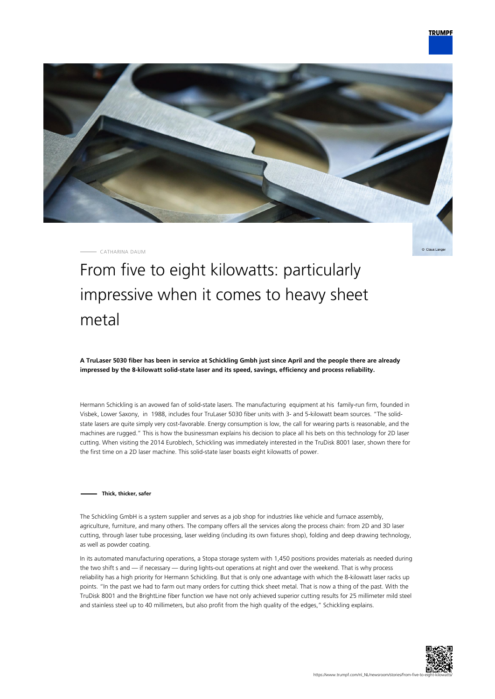

CATHARINA DAUM

Claus Lange

# From five to eight kilowatts: particularly impressive when it comes to heavy sheet metal

**A TruLaser 5030 fiber has been in service at Schickling Gmbh just since April and the people there are already impressed by the 8-kilowatt solid-state laser and its speed, savings, efficiency and process reliability.**

Hermann Schickling is an avowed fan of solid-state lasers. The manufacturing equipment at his family-run firm, founded in Visbek, Lower Saxony, in 1988, includes four TruLaser 5030 fiber units with 3- and 5-kilowatt beam sources. "The solidstate lasers are quite simply very cost-favorable. Energy consumption is low, the call for wearing parts is reasonable, and the machines are rugged." This is how the businessman explains his decision to place all his bets on this technology for 2D laser cutting. When visiting the 2014 Euroblech, Schickling was immediately interested in the TruDisk 8001 laser, shown there for the first time on a 2D laser machine. This solid-state laser boasts eight kilowatts of power.

#### **Thick, thicker, safer**

The Schickling GmbH is a system supplier and serves as a job shop for industries like vehicle and furnace assembly, agriculture, furniture, and many others. The company offers all the services along the process chain: from 2D and 3D laser cutting, through laser tube processing, laser welding (including its own fixtures shop), folding and deep drawing technology, as well as powder coating.

In its automated manufacturing operations, a Stopa storage system with 1,450 positions provides materials as needed during the two shift s and — if necessary — during lights-out operations at night and over the weekend. That is why process reliability has a high priority for Hermann Schickling. But that is only one advantage with which the 8-kilowatt laser racks up points. "In the past we had to farm out many orders for cutting thick sheet metal. That is now a thing of the past. With the TruDisk 8001 and the BrightLine fiber function we have not only achieved superior cutting results for 25 millimeter mild steel and stainless steel up to 40 millimeters, but also profit from the high quality of the edges," Schickling explains.

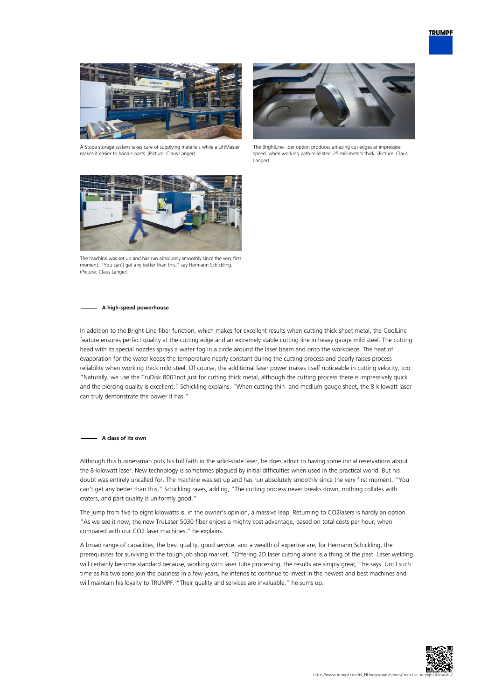

A Stopa storage system takes care of supplying materials while a LiftMaster makes it easier to handle parts. (Picture: Claus Langer)



The BrightLine ciber option produces amazing cut edges at impressive speed, when working with mild steel 25 millimeters thick. (Picture: Claus Langer)



The machine was set up and has run absolutely smoothly since the very first moment. "You can't get any better than this," say Hermann Schickling. (Picture: Claus Langer)

#### **A high-speed powerhouse**

In addition to the Bright-Line fiber function, which makes for excellent results when cutting thick sheet metal, the CoolLine feature ensures perfect quality at the cutting edge and an extremely stable cutting line in heavy gauge mild steel. The cutting head with its special nozzles sprays a water fog in a circle around the laser beam and onto the workpiece. The heat of evaporation for the water keeps the temperature nearly constant during the cutting process and clearly raises process reliability when working thick mild steel. Of course, the additional laser power makes itself noticeable in cutting velocity, too. "Naturally, we use the TruDisk 8001not just for cutting thick metal, although the cutting process there is impressively quick and the piercing quality is excellent," Schickling explains. "When cutting thin- and medium-gauge sheet, the 8-kilowatt laser can truly demonstrate the power it has."

#### **A class of its own**

Although this businessman puts his full faith in the solid-state laser, he does admit to having some initial reservations about the 8-kilowatt laser. New technology is sometimes plagued by initial difficulties when used in the practical world. But his doubt was entirely uncalled for. The machine was set up and has run absolutely smoothly since the very first moment. "You can't get any better than this," Schickling raves, adding, "The cutting process never breaks down, nothing collides with craters, and part quality is uniformly good."

The jump from five to eight kilowatts is, in the owner's opinion, a massive leap. Returning to CO2lasers is hardly an option. "As we see it now, the new TruLaser 5030 fiber enjoys a mighty cost advantage, based on total costs per hour, when compared with our CO2 laser machines," he explains.

A broad range of capacities, the best quality, good service, and a wealth of expertise are, for Hermann Schickling, the prerequisites for surviving in the tough job shop market. "Offering 2D laser cutting alone is a thing of the past. Laser welding will certainly become standard because, working with laser tube processing, the results are simply great," he says. Until such time as his two sons join the business in a few years, he intends to continue to invest in the newest and best machines and will maintain his loyalty to TRUMPF. "Their quality and services are invaluable," he sums up.